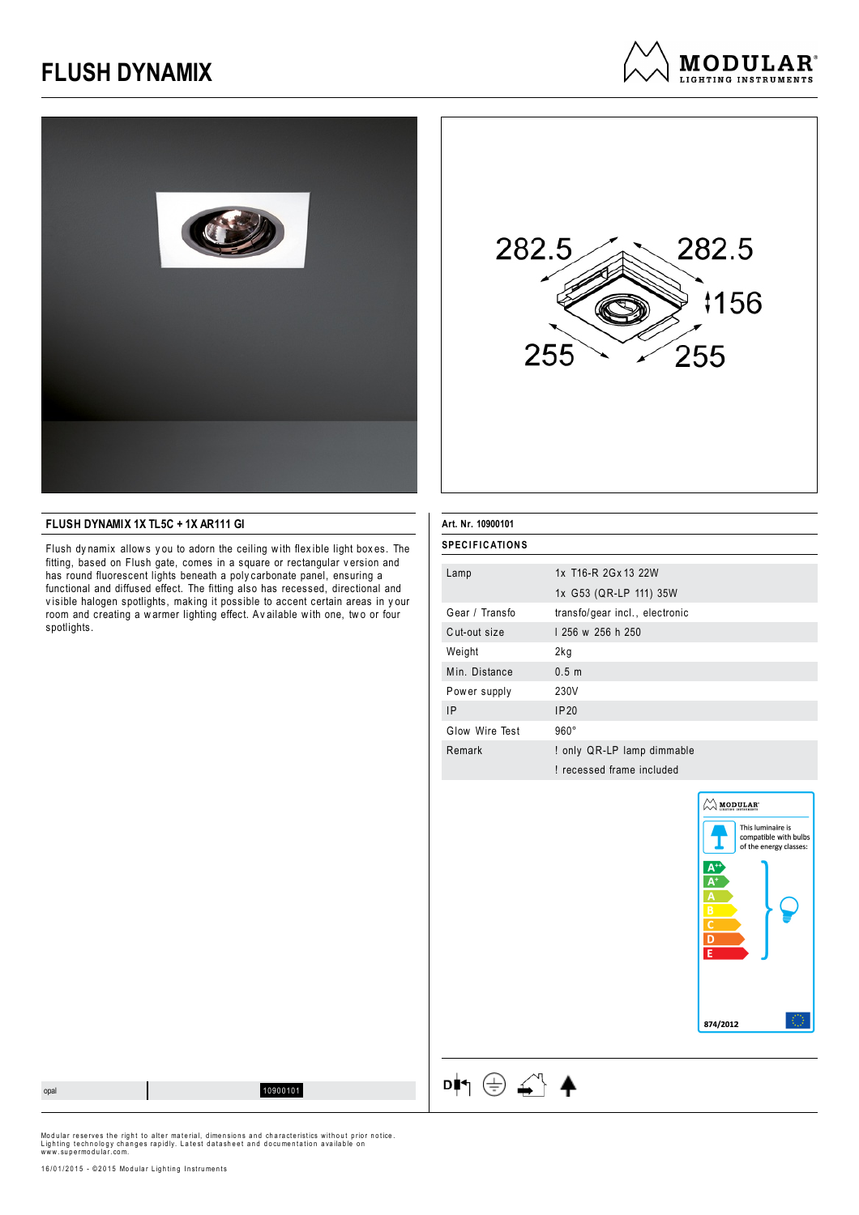## **FLUSH DYNAMIX**







#### **FLUSH DYNAMIX 1X TL5C + 1X AR111 GI**

Flush dy namix allows you to adorn the ceiling with flexible light boxes. The fitting, based on Flush gate, comes in a square or rectangular version and has round fluorescent lights beneath a poly carbonate panel, ensuring a functional and diffused effect. The fitting also has recessed, directional and v isible halogen spotlights, making it possible to accent certain areas in y our room and creating a warmer lighting effect. Available with one, two or four spotlights.

| Art. Nr. 10900101     |                                                         |  |
|-----------------------|---------------------------------------------------------|--|
| <b>SPECIFICATIONS</b> |                                                         |  |
| Lamp                  | 1x T16-R 2Gx 13 22W<br>1x G53 (QR-LP 111) 35W           |  |
| Gear / Transfo        | transfo/gear incl., electronic                          |  |
| Cut-out size          | 1 256 w 256 h 250                                       |  |
| Weight                | 2kg                                                     |  |
| Min. Distance         | 0.5 <sub>m</sub>                                        |  |
| Power supply          | 230V                                                    |  |
| IP                    | IP20                                                    |  |
| Glow Wire Test        | $960^\circ$                                             |  |
| Remark                | ! only QR-LP lamp dimmable<br>! recessed frame included |  |
|                       |                                                         |  |



opal 10900101



Modular reserves the right to alter material, dimensions and characteristics without prior notice.<br>Lighting technology changes rapidly. Latest datasheet and documentation available on<br>www.supermodular.com.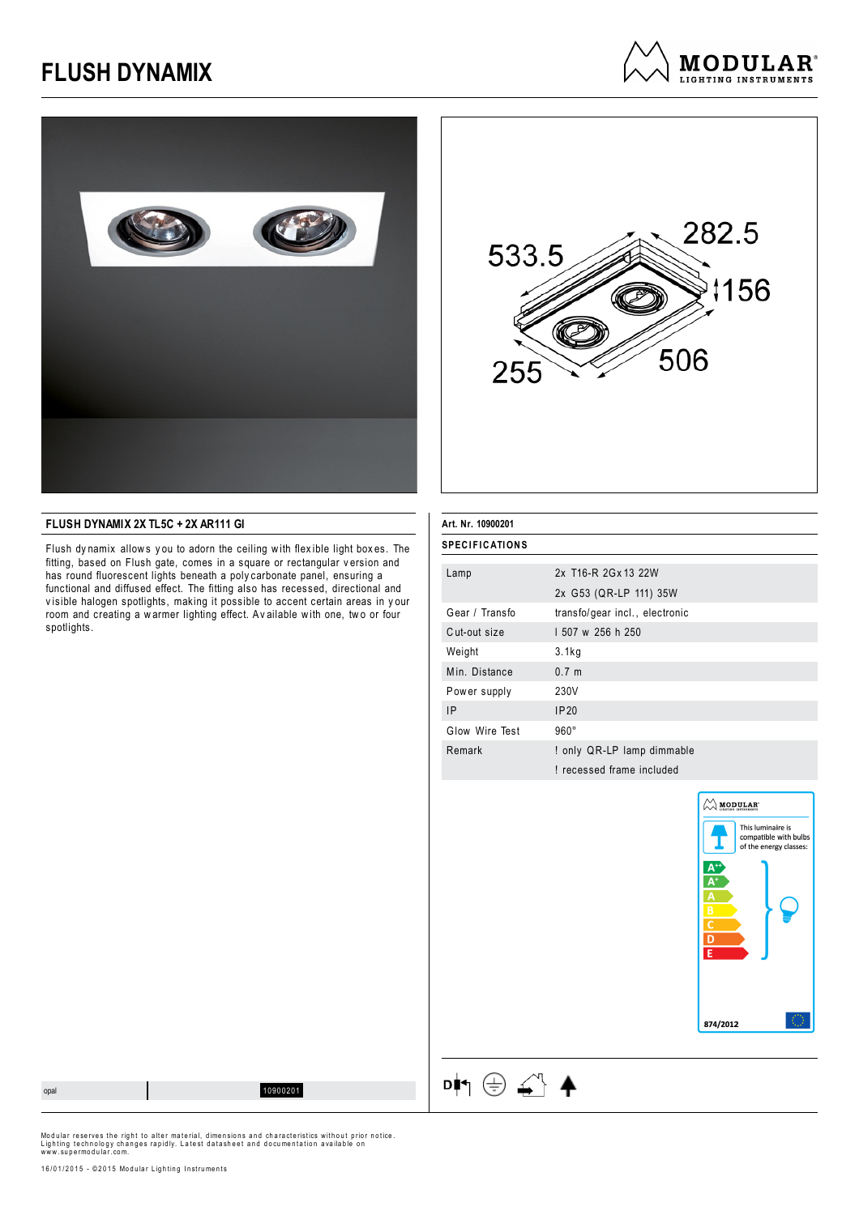## **FLUSH DYNAMIX**







#### **FLUSH DYNAMIX 2X TL5C + 2X AR111 GI**

Flush dynamix allows you to adorn the ceiling with flexible light boxes. The fitting, based on Flush gate, comes in a square or rectangular version and has round fluorescent lights beneath a poly carbonate panel, ensuring a functional and diffused effect. The fitting also has recessed, directional and v isible halogen spotlights, making it possible to accent certain areas in y our room and creating a warmer lighting effect. Av ailable with one, two or four spotlights.

| Art. Nr. 10900201     |                                |
|-----------------------|--------------------------------|
| <b>SPECIFICATIONS</b> |                                |
| Lamp                  | 2x T16-R 2G x 13 22W           |
|                       | 2x G53 (QR-LP 111) 35W         |
| Gear / Transfo        | transfo/gear incl., electronic |
| Cut-out size          | 1 507 w 256 h 250              |
| Weight                | 3.1kg                          |
| Min. Distance         | 0.7 m                          |
| Power supply          | 230V                           |
| 1P                    | IP20                           |
| Glow Wire Test        | $960^\circ$                    |
| Remark                | ! only QR-LP lamp dimmable     |
|                       | ! recessed frame included      |
|                       |                                |



opal 10900201



Modular reserves the right to alter material, dimensions and characteristics without prior notice.<br>Lighting technology changes rapidly. Latest datasheet and documentation available on<br>www.supermodular.com.